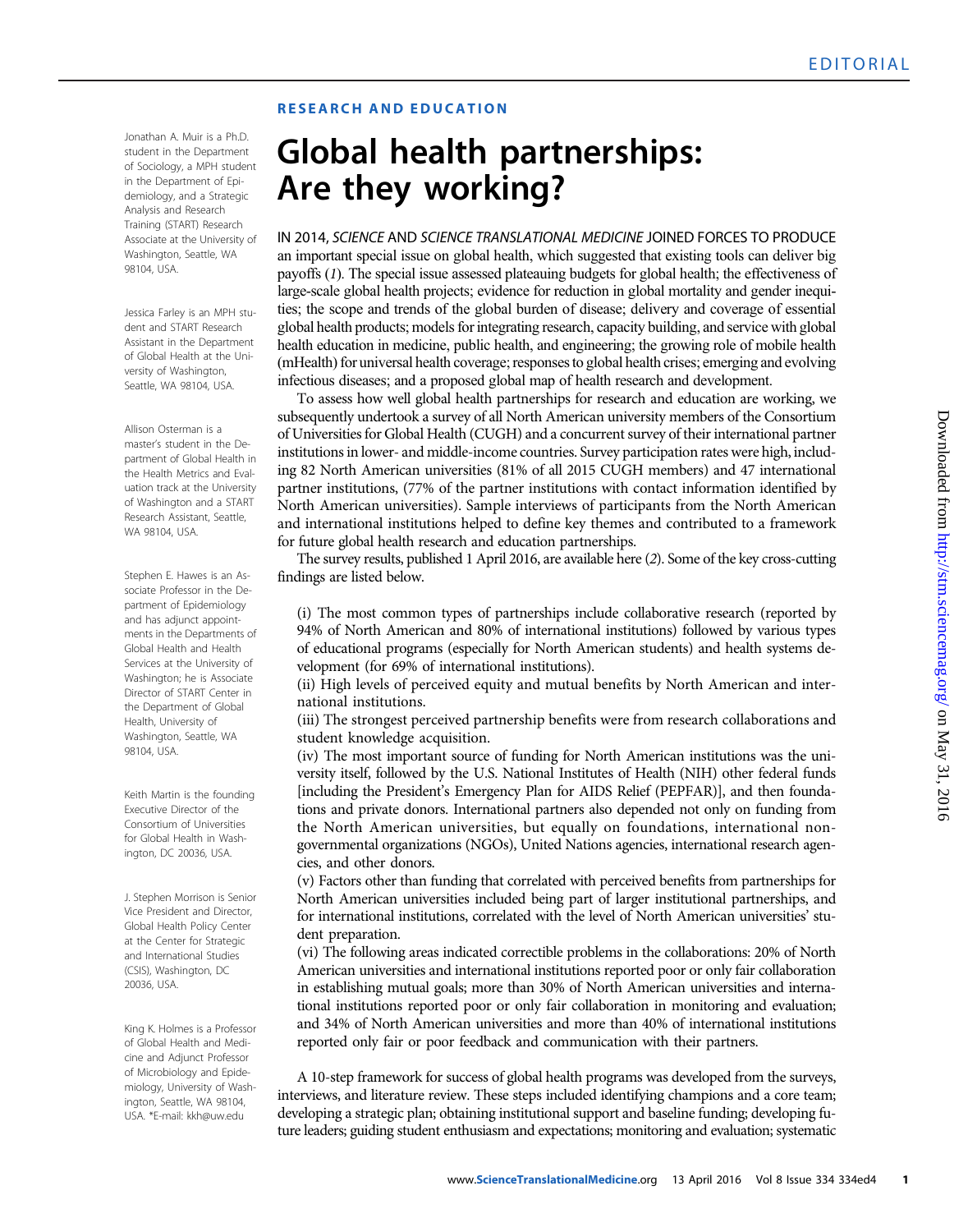## RESEARCH AND EDUCATION

Jonathan A. Muir is a Ph.D. student in the Department of Sociology, a MPH student in the Department of Epidemiology, and a Strategic Analysis and Research Training (START) Research Associate at the University of Washington, Seattle, WA 98104, USA.

Jessica Farley is an MPH student and START Research Assistant in the Department of Global Health at the University of Washington, Seattle, WA 98104, USA.

Allison Osterman is a master*'*s student in the Department of Global Health in the Health Metrics and Evaluation track at the University of Washington and a START Research Assistant, Seattle, WA 98104, USA.

Stephen E. Hawes is an Associate Professor in the Department of Epidemiology and has adjunct appointments in the Departments of Global Health and Health Services at the University of Washington; he is Associate Director of START Center in the Department of Global Health, University of Washington, Seattle, WA 98104, USA.

Keith Martin is the founding Executive Director of the Consortium of Universities for Global Health in Washington, DC 20036, USA.

J. Stephen Morrison is Senior Vice President and Director, Global Health Policy Center at the Center for Strategic and International Studies (CSIS), Washington, DC 20036, USA.

King K. Holmes is a Professor of Global Health and Medicine and Adjunct Professor of Microbiology and Epidemiology, University of Washington, Seattle, WA 98104, USA. \*E-mail: kkh@uw.edu

## Global health partnerships:<br>Are they working?

Are they working? IN 2014, SCIENCE AND SCIENCE TRANSLATIONAL MEDICINE JOINED FORCES TO PRODUCE an important special issue on global health, which suggested that existing tools can deliver big payoffs (1). The special issue assessed plateauing budgets for global health; the effectiveness of large-scale global health projects; evidence for reduction in global mortality and gender inequities; the scope and trends of the global burden of disease; delivery and coverage of essential global health products; models for integrating research, capacity building, and service with global health education in medicine, public health, and engineering; the growing role of mobile health (mHealth) for universal health coverage; responses to global health crises; emerging and evolving infectious diseases; and a proposed global map of health research and development.

To assess how well global health partnerships for research and education are working, we subsequently undertook a survey of all North American university members of the Consortium of Universities for Global Health (CUGH) and a concurrent survey of their international partner institutions in lower- and middle-income countries. Survey participation rates were high, including 82 North American universities (81% of all 2015 CUGH members) and 47 international partner institutions, (77% of the partner institutions with contact information identified by North American universities). Sample interviews of participants from the North American and international institutions helped to define key themes and contributed to a framework for future global health research and education partnerships.

The survey results, published 1 April 2016, are available here (2). Some of the key cross-cutting findings are listed below.

(i) The most common types of partnerships include collaborative research (reported by 94% of North American and 80% of international institutions) followed by various types of educational programs (especially for North American students) and health systems development (for 69% of international institutions).

(ii) High levels of perceived equity and mutual benefits by North American and international institutions.

(iii) The strongest perceived partnership benefits were from research collaborations and student knowledge acquisition.

(iv) The most important source of funding for North American institutions was the university itself, followed by the U.S. National Institutes of Health (NIH) other federal funds [including the President's Emergency Plan for AIDS Relief (PEPFAR)], and then foundations and private donors. International partners also depended not only on funding from the North American universities, but equally on foundations, international nongovernmental organizations (NGOs), United Nations agencies, international research agencies, and other donors.

(v) Factors other than funding that correlated with perceived benefits from partnerships for North American universities included being part of larger institutional partnerships, and for international institutions, correlated with the level of North American universities' student preparation.

(vi) The following areas indicated correctible problems in the collaborations: 20% of North American universities and international institutions reported poor or only fair collaboration in establishing mutual goals; more than 30% of North American universities and international institutions reported poor or only fair collaboration in monitoring and evaluation; and 34% of North American universities and more than 40% of international institutions reported only fair or poor feedback and communication with their partners.

A 10-step framework for success of global health programs was developed from the surveys, interviews, and literature review. These steps included identifying champions and a core team; developing a strategic plan; obtaining institutional support and baseline funding; developing future leaders; guiding student enthusiasm and expectations; monitoring and evaluation; systematic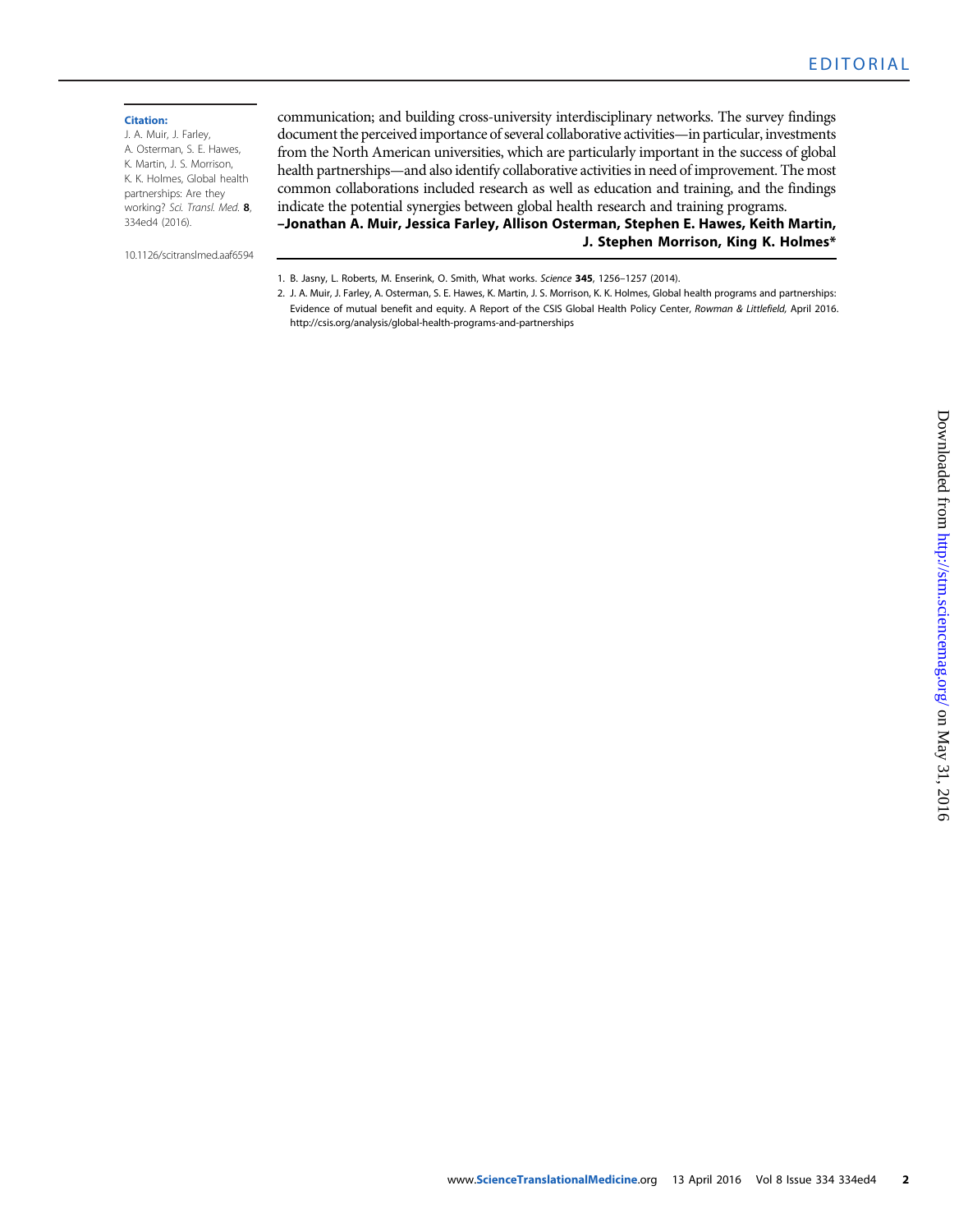## Citation:

J. A. Muir, J. Farley, A. Osterman, S. E. Hawes, K. Martin, J. S. Morrison, K. K. Holmes, Global health partnerships: Are they working? Sci. Transl. Med. 8, 334ed4 (2016).

10.1126/scitranslmed.aaf6594

communication; and building cross-university interdisciplinary networks. The survey findings document the perceived importance of several collaborative activities—in particular, investments from the North American universities, which are particularly important in the success of global health partnerships—and also identify collaborative activities in need of improvement. The most common collaborations included research as well as education and training, and the findings indicate the potential synergies between global health research and training programs. *–*Jonathan A. Muir, Jessica Farley, Allison Osterman, Stephen E. Hawes, Keith Martin,

1. B. Jasny, L. Roberts, M. Enserink, O. Smith, What works. Science 345, 1256*–*1257 (2014).

2. J. A. Muir, J. Farley, A. Osterman, S. E. Hawes, K. Martin, J. S. Morrison, K. K. Holmes, Global health programs and partnerships: Evidence of mutual benefit and equity. A Report of the CSIS Global Health Policy Center, Rowman & Littlefield, April 2016. http://csis.org/analysis/global-health-programs-and-partnerships

J. Stephen Morrison, King K. Holmes\*